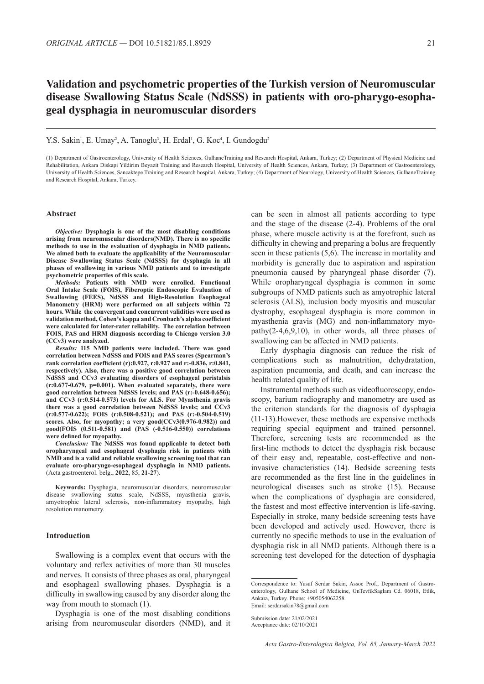# **Validation and psychometric properties of the Turkish version of Neuromuscular disease Swallowing Status Scale (NdSSS) in patients with oro-pharygo-esophageal dysphagia in neuromuscular disorders**

Y.S. Sakin<sup>1</sup>, E. Umay<sup>2</sup>, A. Tanoglu<sup>3</sup>, H. Erdal<sup>1</sup>, G. Koc<sup>4</sup>, I. Gundogdu<sup>2</sup>

(1) Department of Gastroenterology, University of Health Sciences, GulhaneTraining and Research Hospital, Ankara, Turkey; (2) Department of Physical Medicine and Rehabilitation, Ankara Diskapi Yildirim Beyazit Training and Research Hospital, University of Health Sciences, Ankara, Turkey; (3) Department of Gastroenterology, University of Health Sciences, Sancaktepe Training and Research hospital, Ankara, Turkey; (4) Department of Neurology, University of Health Sciences, GulhaneTraining and Research Hospital, Ankara, Turkey.

#### **Abstract**

*Objective:* **Dysphagia is one of the most disabling conditions arising from neuromuscular disorders(NMD). There is no specific methods to use in the evaluation of dysphagia in NMD patients. We aimed both to evaluate the applicability of the Neuromuscular Disease Swallowing Status Scale (NdSSS) for dysphagia in all phases of swallowing in various NMD patients and to investigate psychometric properties of this scale.**

*Methods:* **Patients with NMD were enrolled. Functional Oral Intake Scale (FOIS), Fiberoptic Endoscopic Evaluation of Swallowing (FEES), NdSSS and High-Resolution Esophageal Manometry (HRM) were performed on all subjects within 72 hours. While the convergent and concurrent validities were used as validation method, Cohen's kappa and Cronbach's alpha coefficient were calculated for inter-rater reliability. The correlation between FOIS, PAS and HRM diagnosis according to Chicago version 3.0 (CCv3) were analyzed.** 

*Results:* **115 NMD patients were included. There was good correlation between NdSSS and FOIS and PAS scores (Spearman's rank correlation coefficient (r):0.927, r:0.927 and r:-0.836, r:0.841, respectively). Also, there was a positive good correlation between NdSSS and CCv3 evaluating disorders of esophageal peristalsis (r:0.677-0.679, p=0.001). When evaluated separately, there were good correlation between NdSSS levels; and PAS (r:-0.648-0.656); and CCv3 (r:0.514-0.573) levels for ALS. For Myasthenia gravis there was a good correlation between NdSSS levels; and CCv3 (r:0.577-0.622); FOIS (r:0.508-0.521); and PAS (r:-0.504-0.519) scores. Also, for myopathy; a very good(CCv3(0.976-0.982)) and good(FOIS (0.511-0.581) and (PAS (-0.516-0.550)) correlations were defined for myopathy.**

*Conclusion:* **The NdSSS was found applicable to detect both oropharyngeal and esophageal dysphagia risk in patients with NMD and is a valid and reliable swallowing screening tool that can evaluate oro-pharyngo-esophageal dysphagia in NMD patients.**  (Acta gastroenterol. belg., **2022,** 85, **21-27**).

**Keywords:** Dysphagia, neuromuscular disorders, neuromuscular disease swallowing status scale, NdSSS, myasthenia gravis, amyotrophic lateral sclerosis, non-inflammatory myopathy, high resolution manometry.

#### **Introduction**

Swallowing is a complex event that occurs with the voluntary and reflex activities of more than 30 muscles and nerves. It consists of three phases as oral, pharyngeal and esophageal swallowing phases. Dysphagia is a difficulty in swallowing caused by any disorder along the way from mouth to stomach (1).

Dysphagia is one of the most disabling conditions arising from neuromuscular disorders (NMD), and it can be seen in almost all patients according to type and the stage of the disease (2-4). Problems of the oral phase, where muscle activity is at the forefront, such as difficulty in chewing and preparing a bolus are frequently seen in these patients (5,6). The increase in mortality and morbidity is generally due to aspiration and aspiration pneumonia caused by pharyngeal phase disorder (7). While oropharyngeal dysphagia is common in some subgroups of NMD patients such as amyotrophic lateral sclerosis (ALS), inclusion body myositis and muscular dystrophy, esophageal dysphagia is more common in myasthenia gravis (MG) and non-inflammatory myopathy(2-4,6,9,10), in other words, all three phases of swallowing can be affected in NMD patients.

Early dysphagia diagnosis can reduce the risk of complications such as malnutrition, dehydratation, aspiration pneumonia, and death, and can increase the health related quality of life.

Instrumental methods such as videofluoroscopy, endoscopy, barium radiography and manometry are used as the criterion standards for the diagnosis of dysphagia (11-13).However, these methods are expensive methods requiring special equipment and trained personnel. Therefore, screening tests are recommended as the first-line methods to detect the dysphagia risk because of their easy and, repeatable, cost-effective and noninvasive characteristics (14). Bedside screening tests are recommended as the first line in the guidelines in neurological diseases such as stroke (15). Because when the complications of dysphagia are considered, the fastest and most effective intervention is life-saving. Especially in stroke, many bedside screening tests have been developed and actively used. However, there is currently no specific methods to use in the evaluation of dysphagia risk in all NMD patients. Although there is a screening test developed for the detection of dysphagia

Correspondence to: Yusuf Serdar Sakin, Assoc Prof., Department of Gastroenterology, Gulhane School of Medicine, GnTevfikSaglam Cd. 06018, Etlik, Ankara, Turkey. Phone: +905054062258. Email: serdarsakin78@gmail.com

Submission date: 21/02/2021 Acceptance date: 02/10/2021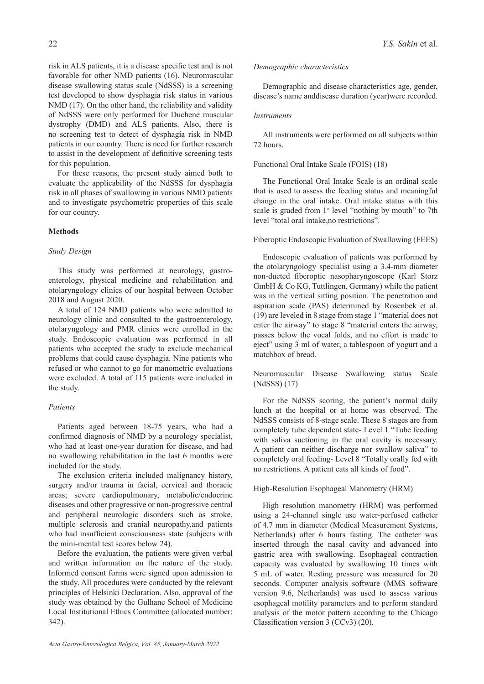risk in ALS patients, it is a disease specific test and is not favorable for other NMD patients (16). Neuromuscular disease swallowing status scale (NdSSS) is a screening test developed to show dysphagia risk status in various NMD (17). On the other hand, the reliability and validity of NdSSS were only performed for Duchene muscular dystrophy (DMD) and ALS patients. Also, there is no screening test to detect of dysphagia risk in NMD patients in our country. There is need for further research to assist in the development of definitive screening tests for this population.

For these reasons, the present study aimed both to evaluate the applicability of the NdSSS for dysphagia risk in all phases of swallowing in various NMD patients and to investigate psychometric properties of this scale for our country.

## **Methods**

## *Study Design*

This study was performed at neurology, gastroenterology, physical medicine and rehabilitation and otolaryngology clinics of our hospital between October 2018 and August 2020.

A total of 124 NMD patients who were admitted to neurology clinic and consulted to the gastroenterology, otolaryngology and PMR clinics were enrolled in the study. Endoscopic evaluation was performed in all patients who accepted the study to exclude mechanical problems that could cause dysphagia. Nine patients who refused or who cannot to go for manometric evaluations were excluded. A total of 115 patients were included in the study.

## *Patients*

Patients aged between 18-75 years, who had a confirmed diagnosis of NMD by a neurology specialist, who had at least one-year duration for disease, and had no swallowing rehabilitation in the last 6 months were included for the study.

The exclusion criteria included malignancy history, surgery and/or trauma in facial, cervical and thoracic areas; severe cardiopulmonary, metabolic/endocrine diseases and other progressive or non-progressive central and peripheral neurologic disorders such as stroke, multiple sclerosis and cranial neuropathy,and patients who had insufficient consciousness state (subjects with the mini-mental test scores below 24).

Before the evaluation, the patients were given verbal and written information on the nature of the study. Informed consent forms were signed upon admission to the study. All procedures were conducted by the relevant principles of Helsinki Declaration. Also, approval of the study was obtained by the Gulhane School of Medicine Local Institutional Ethics Committee (allocated number: 342).

## *Demographic characteristics*

Demographic and disease characteristics age, gender, disease's name anddisease duration (year)were recorded.

## *Instruments*

All instruments were performed on all subjects within 72 hours.

## Functional Oral Intake Scale (FOIS) (18)

The Functional Oral Intake Scale is an ordinal scale that is used to assess the feeding status and meaningful change in the oral intake. Oral intake status with this scale is graded from  $1<sup>st</sup>$  level "nothing by mouth" to 7th level "total oral intake,no restrictions".

## Fiberoptic Endoscopic Evaluation of Swallowing (FEES)

Endoscopic evaluation of patients was performed by the otolaryngology specialist using a 3.4-mm diameter non-ducted fiberoptic nasopharyngoscope (Karl Storz GmbH & Co KG, Tuttlingen, Germany) while the patient was in the vertical sitting position. The penetration and aspiration scale (PAS) determined by Rosenbek et al. (19) are leveled in 8 stage from stage 1 "material does not enter the airway" to stage 8 "material enters the airway, passes below the vocal folds, and no effort is made to eject" using 3 ml of water, a tablespoon of yogurt and a matchbox of bread.

Neuromuscular Disease Swallowing status Scale (NdSSS) (17)

For the NdSSS scoring, the patient's normal daily lunch at the hospital or at home was observed. The NdSSS consists of 8-stage scale. These 8 stages are from completely tube dependent state- Level 1 "Tube feeding with saliva suctioning in the oral cavity is necessary. A patient can neither discharge nor swallow saliva" to completely oral feeding- Level 8 "Totally orally fed with no restrictions. A patient eats all kinds of food".

# High-Resolution Esophageal Manometry (HRM)

High resolution manometry (HRM) was performed using a 24-channel single use water-perfused catheter of 4.7 mm in diameter (Medical Measurement Systems, Netherlands) after 6 hours fasting. The catheter was inserted through the nasal cavity and advanced into gastric area with swallowing. Esophageal contraction capacity was evaluated by swallowing 10 times with 5 mL of water. Resting pressure was measured for 20 seconds. Computer analysis software (MMS software version 9.6, Netherlands) was used to assess various esophageal motility parameters and to perform standard analysis of the motor pattern according to the Chicago Classification version 3 (CCv3) (20).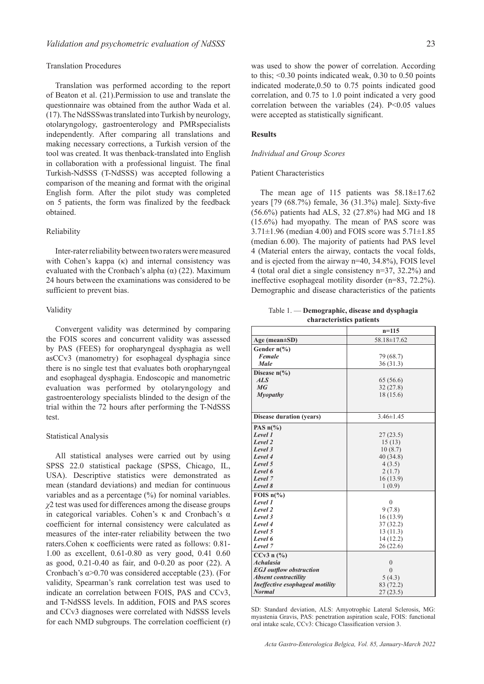## Translation Procedures

Translation was performed according to the report of Beaton et al. (21).Permission to use and translate the questionnaire was obtained from the author Wada et al. (17). The NdSSSwas translated into Turkish by neurology, otolaryngology, gastroenterology and PMRspecialists independently. After comparing all translations and making necessary corrections, a Turkish version of the tool was created. It was thenback-translated into English in collaboration with a professional linguist. The final Turkish-NdSSS (T-NdSSS) was accepted following a comparison of the meaning and format with the original English form. After the pilot study was completed on 5 patients, the form was finalized by the feedback obtained.

#### Reliability

Inter-rater reliability between two raters were measured with Cohen's kappa (κ) and internal consistency was evaluated with the Cronbach's alpha  $(\alpha)$  (22). Maximum 24 hours between the examinations was considered to be sufficient to prevent bias.

## Validity

Convergent validity was determined by comparing the FOIS scores and concurrent validity was assessed by PAS (FEES) for oropharyngeal dysphagia as well asCCv3 (manometry) for esophageal dysphagia since there is no single test that evaluates both oropharyngeal and esophageal dysphagia. Endoscopic and manometric evaluation was performed by otolaryngology and gastroenterology specialists blinded to the design of the trial within the 72 hours after performing the T-NdSSS test.

#### Statistical Analysis

All statistical analyses were carried out by using SPSS 22.0 statistical package (SPSS, Chicago, IL, USA). Descriptive statistics were demonstrated as mean (standard deviations) and median for continuous variables and as a percentage (%) for nominal variables. *χ*2 test was used for differences among the disease groups in categorical variables. Cohen's κ and Cronbach's α coefficient for internal consistency were calculated as measures of the inter-rater reliability between the two raters.Cohen κ coefficients were rated as follows: 0.81- 1.00 as excellent, 0.61-0.80 as very good, 0.41 0.60 as good, 0.21-0.40 as fair, and 0-0.20 as poor (22). A Cronbach's  $\alpha$ >0.70 was considered acceptable (23). (For validity, Spearman's rank correlation test was used to indicate an correlation between FOIS, PAS and CCv3, and T-NdSSS levels. In addition, FOIS and PAS scores and CCv3 diagnoses were correlated with NdSSS levels for each NMD subgroups. The correlation coefficient (r)

was used to show the power of correlation. According to this; <0.30 points indicated weak, 0.30 to 0.50 points indicated moderate,0.50 to 0.75 points indicated good correlation, and 0.75 to 1.0 point indicated a very good correlation between the variables  $(24)$ . P<0.05 values were accepted as statistically significant.

## **Results**

#### *Individual and Group Scores*

## Patient Characteristics

The mean age of 115 patients was  $58.18 \pm 17.62$ years [79 (68.7%) female, 36 (31.3%) male]. Sixty-five (56.6%) patients had ALS, 32 (27.8%) had MG and 18 (15.6%) had myopathy. The mean of PAS score was  $3.71 \pm 1.96$  (median 4.00) and FOIS score was  $5.71 \pm 1.85$ (median 6.00). The majority of patients had PAS level 4 (Material enters the airway, contacts the vocal folds, and is ejected from the airway n=40, 34.8%), FOIS level 4 (total oral diet a single consistency n=37, 32.2%) and ineffective esophageal motility disorder (n=83, 72.2%). Demographic and disease characteristics of the patients

Table 1. — **Demographic, disease and dysphagia characteristics patients**

|                                 | $n = 115$       |
|---------------------------------|-----------------|
| Age (mean $\pm SD$ )            | 58.18±17.62     |
| Gender $n\frac{6}{6}$           |                 |
| <b>Female</b>                   | 79 (68.7)       |
| Male                            | 36(31.3)        |
| Disease $n\frac{6}{6}$          |                 |
| ALS                             | 65 (56.6)       |
| MG                              | 32(27.8)        |
| Myopathy                        | 18 (15.6)       |
|                                 |                 |
| <b>Disease duration (years)</b> | $3.46 \pm 1.45$ |
| PAS $n\frac{6}{6}$              |                 |
| Level 1                         | 27(23.5)        |
| Level 2                         | 15(13)          |
| Level 3                         | 10(8.7)         |
| Level 4                         | 40 (34.8)       |
| Level 5                         | 4(3.5)          |
| Level 6                         | 2(1.7)          |
| Level 7                         | 16(13.9)        |
| Level 8                         | 1(0.9)          |
| FOIS $n\frac{6}{6}$             |                 |
| Level 1                         | $\theta$        |
| Level 2                         | 9(7.8)          |
| Level 3                         | 16(13.9)        |
| Level 4                         | 37(32.2)        |
| Level 5                         | 13(11.3)        |
| Level 6                         | 14(12.2)        |
| Level 7                         | 26(22.6)        |
| $CCv3$ n $(\%)$                 |                 |
| <b>Achalasia</b>                | $\overline{0}$  |
| <b>EGJ</b> outflow obstruction  | $\theta$        |
| <b>Absent contractility</b>     | 5(4.3)          |
| Ineffective esophageal motility | 83 (72.2)       |
| <b>Normal</b>                   | 27(23.5)        |

SD: Standard deviation, ALS: Amyotrophic Lateral Sclerosis, MG: myastenia Gravis, PAS: penetration aspiration scale, FOIS: functional oral intake scale, CCv3: Chicago Classification version 3.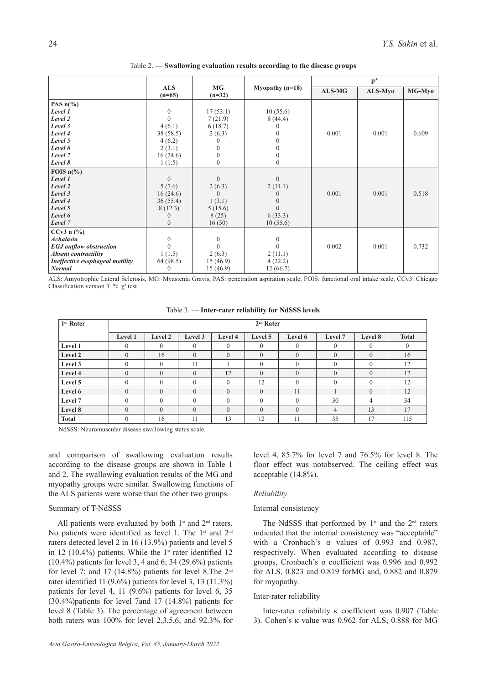|                                 |                        |                       |                   | $p^*$         |         |        |  |
|---------------------------------|------------------------|-----------------------|-------------------|---------------|---------|--------|--|
|                                 | <b>ALS</b><br>$(n=65)$ | <b>MG</b><br>$(n=32)$ | Myopathy $(n=18)$ | <b>ALS-MG</b> | ALS-Myo | MG-Myo |  |
| PAS $n\frac{6}{6}$              |                        |                       |                   |               |         |        |  |
| Level 1                         | $\theta$               | 17(53.1)              | 10(55.6)          |               |         |        |  |
| Level 2                         |                        | 7(21.9)               | 8(44.4)           |               |         |        |  |
| Level 3                         | 4(6.1)                 | 6(18.7)               |                   |               |         |        |  |
| Level 4                         | 38 (58.5)              | 2(6.3)                |                   | 0.001         | 0.001   | 0.609  |  |
| Level 5                         | 4(6.2)                 |                       |                   |               |         |        |  |
| Level 6                         | 2(3.1)                 | $\theta$              |                   |               |         |        |  |
| Level 7                         | 16(24.6)               | $\theta$              | 0                 |               |         |        |  |
| Level 8                         | 1(1.5)                 | $\overline{0}$        | $\boldsymbol{0}$  |               |         |        |  |
| FOIS $n\frac{6}{6}$             |                        |                       |                   |               |         |        |  |
| Level 1                         | $\mathbf{0}$           | $\mathbf{0}$          | $\boldsymbol{0}$  |               |         |        |  |
| Level 2                         | 5(7.6)                 | 2(6.3)                | 2(11.1)           |               |         |        |  |
| Level 3                         | 16(24.6)               | $\Omega$              |                   | 0.001         | 0.001   | 0.518  |  |
| Level 4                         | 36(55.4)               | 1(3.1)                | $\theta$          |               |         |        |  |
| Level 5                         | 8(12.3)                | 5(15.6)               | $\Omega$          |               |         |        |  |
| Level 6                         |                        | 8(25)                 | 6(33.3)           |               |         |        |  |
| Level 7                         | $\Omega$               | 16(50)                | 10(55.6)          |               |         |        |  |
| CCv3 n (%)                      |                        |                       |                   |               |         |        |  |
| <b>Achalasia</b>                | $\theta$               | $\mathbf{0}$          | $\boldsymbol{0}$  |               |         |        |  |
| <b>EGJ</b> outflow obstruction  | $\Omega$               | $\theta$              | $\theta$          | 0.002         | 0.001   | 0.732  |  |
| <b>Absent contractility</b>     | 1(1.5)                 | 2(6.3)                | 2(11.1)           |               |         |        |  |
| Ineffective esophageal motility | 64 (98.5)              | 15(46.9)              | 4(22.2)           |               |         |        |  |
| <b>Normal</b>                   | $\theta$               | 15(46.9)              | 12(66.7)          |               |         |        |  |

Table 2. — **Swallowing evaluation results according to the disease groups**

ALS: Amyotrophic Lateral Sclerosis, MG: Myastenia Gravis, PAS: penetration aspiration scale, FOIS: functional oral intake scale, CCv3: Chicago Classification version 3. **\*:** χ² test

Table 3. — **Inter-rater reliability for NdSSS levels**

| $1st$ Rater  | $2nd$ Rater |          |          |          |          |              |                |          |              |
|--------------|-------------|----------|----------|----------|----------|--------------|----------------|----------|--------------|
|              | Level 1     | Level 2  | Level 3  | Level 4  | Level 5  | Level 6      | Level 7        | Level 8  | <b>Total</b> |
| Level 1      | $\left($    | $\theta$ | $\theta$ | $\Omega$ | $\theta$ | $\mathbf{0}$ | $\theta$       | $\Omega$ | $\theta$     |
| Level 2      | $\Omega$    | 16       | $\theta$ | $\Omega$ | $\theta$ | $\mathbf{0}$ | $\Omega$       | $\Omega$ | 16           |
| Level 3      | $\theta$    | $\theta$ | 11       |          |          | $\mathbf{0}$ | $\theta$       | $\Omega$ | 12           |
| Level 4      | $\Omega$    | $\Omega$ | $\Omega$ | 12       | $\Omega$ | $\Omega$     | $\Omega$       | $\theta$ | 12           |
| Level 5      | $\Omega$    | $\Omega$ | $\Omega$ | $\Omega$ | 12       | $\Omega$     | $\Omega$       | $\Omega$ | 12           |
| Level 6      | $\Omega$    | $\Omega$ | $\Omega$ | $\Omega$ | $\theta$ | 11           |                | $\Omega$ | 12           |
| Level 7      | $\Omega$    | $\theta$ | $\Omega$ | $\theta$ | $\Omega$ | $\Omega$     | 30             | 4        | 34           |
| Level 8      | $\Omega$    | $\Omega$ | $\Omega$ | $\Omega$ | $\Omega$ | $\Omega$     | $\overline{4}$ | 13       | 17           |
| <b>Total</b> | $\Omega$    | 16       | 11       | 13       | 12       | 11           | 35             | 17       | 115          |

NdSSS: Neuromuscular disease swallowing status scale.

and comparison of swallowing evaluation results according to the disease groups are shown in Table 1 and 2. The swallowing evaluation results of the MG and myopathy groups were similar. Swallowing functions of the ALS patients were worse than the other two groups.

#### Summary of T-NdSSS

All patients were evaluated by both  $1<sup>st</sup>$  and  $2<sup>nd</sup>$  raters. No patients were identified as level 1. The  $1^{st}$  and  $2^{nd}$ raters detected level 2 in 16 (13.9%) patients and level 5 in 12 (10.4%) patients. While the  $1<sup>st</sup>$  rater identified 12 (10.4%) patients for level 3, 4 and 6; 34 (29.6%) patients for level 7; and 17 (14.8%) patients for level 8. The  $2<sup>nd</sup>$ rater identified 11 (9,6%) patients for level 3, 13 (11.3%) patients for level 4, 11 (9.6%) patients for level 6, 35 (30.4%)patients for level 7and 17 (14.8%) patients for level 8 (Table 3). The percentage of agreement between both raters was 100% for level 2,3,5,6, and 92.3% for

*Acta Gastro-Enterologica Belgica, Vol. 85, January-March 2022*

level 4, 85.7% for level 7 and 76.5% for level 8. The floor effect was notobserved. The ceiling effect was acceptable (14.8%).

# *Reliability*

# Internal consistency

The NdSSS that performed by  $1<sup>st</sup>$  and the  $2<sup>nd</sup>$  raters indicated that the internal consistency was "acceptable" with a Cronbach's  $\alpha$  values of 0.993 and 0.987. respectively. When evaluated according to disease groups, Cronbach's α coefficient was 0.996 and 0.992 for ALS, 0.823 and 0.819 forMG and, 0.882 and 0.879 for myopathy.

# Inter-rater reliability

Inter-rater reliability κ coefficient was 0.907 (Table 3). Cohen's κ value was 0.962 for ALS, 0.888 for MG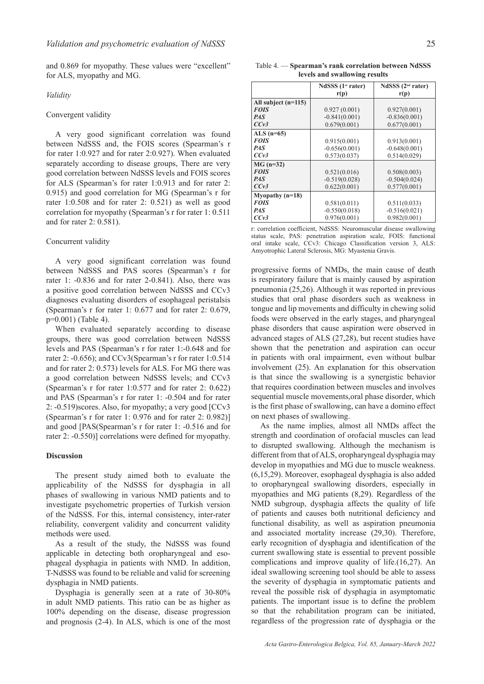and 0.869 for myopathy. These values were "excellent" for ALS, myopathy and MG.

## *Validity*

## Convergent validity

A very good significant correlation was found between NdSSS and, the FOIS scores (Spearman's r for rater 1:0.927 and for rater 2:0.927). When evaluated separately according to disease groups, There are very good correlation between NdSSS levels and FOIS scores for ALS (Spearman's for rater 1:0.913 and for rater 2: 0.915) and good correlation for MG (Spearman's r for rater 1:0.508 and for rater 2: 0.521) as well as good correlation for myopathy (Spearman's r for rater 1: 0.511 and for rater 2: 0.581).

#### Concurrent validity

A very good significant correlation was found between NdSSS and PAS scores (Spearman's r for rater 1: -0.836 and for rater 2-0.841). Also, there was a positive good correlation between NdSSS and CCv3 diagnoses evaluating disorders of esophageal peristalsis (Spearman's r for rater 1: 0.677 and for rater 2: 0.679, p=0.001) (Table 4).

When evaluated separately according to disease groups, there was good correlation between NdSSS levels and PAS (Spearman's r for rater 1:-0.648 and for rater 2: -0.656); and CCv3(Spearman's r for rater 1:0.514 and for rater 2: 0.573) levels for ALS. For MG there was a good correlation between NdSSS levels; and CCv3 (Spearman's r for rater 1:0.577 and for rater 2: 0.622) and PAS (Spearman's r for rater 1: -0.504 and for rater 2: -0.519)scores. Also, for myopathy; a very good [CCv3 (Spearman's r for rater 1: 0.976 and for rater 2: 0.982)] and good [PAS(Spearman's r for rater 1: -0.516 and for rater 2: -0.550)] correlations were defined for myopathy.

## **Discussion**

The present study aimed both to evaluate the applicability of the NdSSS for dysphagia in all phases of swallowing in various NMD patients and to investigate psychometric properties of Turkish version of the NdSSS. For this, internal consistency, inter-rater reliability, convergent validity and concurrent validity methods were used.

As a result of the study, the NdSSS was found applicable in detecting both oropharyngeal and esophageal dysphagia in patients with NMD. In addition, T-NdSSS was found to be reliable and valid for screening dysphagia in NMD patients.

Dysphagia is generally seen at a rate of 30-80% in adult NMD patients. This ratio can be as higher as 100% depending on the disease, disease progression and prognosis (2-4). In ALS, which is one of the most

Table 4. — **Spearman's rank correlation between NdSSS levels and swallowing results**

|                       | NdSSS $(1st rater)$ | NdSSS (2 <sup>nd</sup> rater) |  |  |
|-----------------------|---------------------|-------------------------------|--|--|
|                       | r(p)                | r(p)                          |  |  |
| All subject $(n=115)$ |                     |                               |  |  |
| <b>FOIS</b>           | 0.927(0.001)        | 0.927(0.001)                  |  |  |
| <b>PAS</b>            | $-0.841(0.001)$     | $-0.836(0.001)$               |  |  |
| CCv3                  | 0.679(0.001)        | 0.677(0.001)                  |  |  |
| ALS $(n=65)$          |                     |                               |  |  |
| <b>FOIS</b>           | 0.915(0.001)        | 0.913(0.001)                  |  |  |
| <b>PAS</b>            | $-0.656(0.001)$     | $-0.648(0.001)$               |  |  |
| CCv3                  | 0.573(0.037)        | 0.514(0.029)                  |  |  |
| $MG(n=32)$            |                     |                               |  |  |
| <b>FOIS</b>           | 0.521(0.016)        | 0.508(0.003)                  |  |  |
| <b>PAS</b>            | $-0.519(0.028)$     | $-0.504(0.024)$               |  |  |
| CCv3                  | 0.622(0.001)        | 0.577(0.001)                  |  |  |
| Myopathy $(n=18)$     |                     |                               |  |  |
| <b>FOIS</b>           | 0.581(0.011)        | 0.511(0.033)                  |  |  |
| <b>PAS</b>            | $-0.550(0.018)$     | $-0.516(0.021)$               |  |  |
| CCv3                  | 0.976(0.001)        | 0.982(0.001)                  |  |  |

r: correlation coefficient, NdSSS: Neuromuscular disease swallowing status scale, PAS: penetration aspiration scale, FOIS: functional oral intake scale, CCv3: Chicago Classification version 3, ALS: Amyotrophic Lateral Sclerosis, MG: Myastenia Gravis.

progressive forms of NMDs, the main cause of death is respiratory failure that is mainly caused by aspiration pneumonia (25,26). Although it was reported in previous studies that oral phase disorders such as weakness in tongue and lip movements and difficulty in chewing solid foods were observed in the early stages, and pharyngeal phase disorders that cause aspiration were observed in advanced stages of ALS (27,28), but recent studies have shown that the penetration and aspiration can occur in patients with oral impairment, even without bulbar involvement (25). An explanation for this observation is that since the swallowing is a synergistic behavior that requires coordination between muscles and involves sequential muscle movements,oral phase disorder, which is the first phase of swallowing, can have a domino effect on next phases of swallowing.

As the name implies, almost all NMDs affect the strength and coordination of orofacial muscles can lead to disrupted swallowing. Although the mechanism is different from that of ALS, oropharyngeal dysphagia may develop in myopathies and MG due to muscle weakness. (6,15,29). Moreover, esophageal dysphagia is also added to oropharyngeal swallowing disorders, especially in myopathies and MG patients (8,29). Regardless of the NMD subgroup, dysphagia affects the quality of life of patients and causes both nutritional deficiency and functional disability, as well as aspiration pneumonia and associated mortality increase (29,30). Therefore, early recognition of dysphagia and identification of the current swallowing state is essential to prevent possible complications and improve quality of life.(16,27). An ideal swallowing screening tool should be able to assess the severity of dysphagia in symptomatic patients and reveal the possible risk of dysphagia in asymptomatic patients. The important issue is to define the problem so that the rehabilitation program can be initiated, regardless of the progression rate of dysphagia or the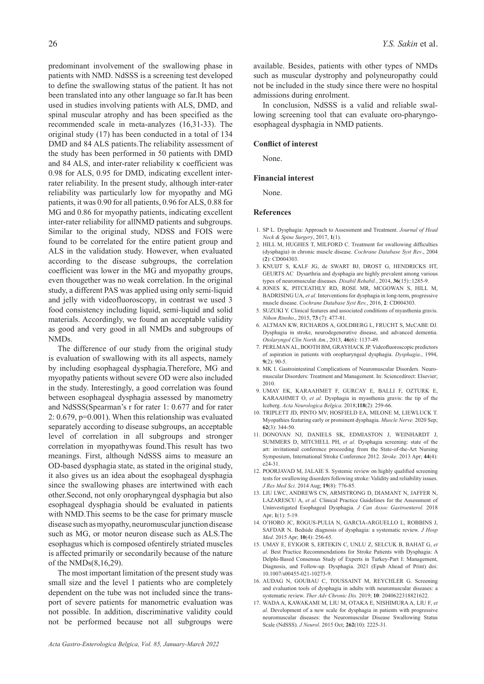predominant involvement of the swallowing phase in patients with NMD. NdSSS is a screening test developed to define the swallowing status of the patient. It has not been translated into any other language so far.It has been used in studies involving patients with ALS, DMD, and spinal muscular atrophy and has been specified as the recommended scale in meta-analyzes (16,31-33). The original study (17) has been conducted in a total of 134 DMD and 84 ALS patients.The reliability assessment of the study has been performed in 50 patients with DMD and 84 ALS, and inter-rater reliability κ coefficient was 0.98 for ALS, 0.95 for DMD, indicating excellent interrater reliability. In the present study, although inter-rater reliability was particularly low for myopathy and MG patients, it was 0.90 for all patients, 0.96 for ALS, 0.88 for MG and 0.86 for myopathy patients, indicating excellent inter-rater reliability for allNMD patients and subgroups. Similar to the original study, NDSS and FOIS were found to be correlated for the entire patient group and ALS in the validation study. However, when evaluated according to the disease subgroups, the correlation coefficient was lower in the MG and myopathy groups, even thougether was no weak correlation. In the original study, a different PAS was applied using only semi-liquid and jelly with videofluoroscopy, in contrast we used 3 food consistency including liquid, semi-liquid and solid materials. Accordingly, we found an acceptable validity as good and very good in all NMDs and subgroups of NMDs.

The difference of our study from the original study is evaluation of swallowing with its all aspects, namely by including esophageal dysphagia.Therefore, MG and myopathy patients without severe OD were also included in the study. Interestingly, a good correlation was found between esophageal dysphagia assessed by manometry and NdSSS(Spearman's r for rater 1: 0.677 and for rater 2: 0.679, p=0.001). When this relationship was evaluated separately according to disease subgroups, an acceptable level of correlation in all subgroups and stronger correlation in myopathywas found.This result has two meanings. First, although NdSSS aims to measure an OD-based dysphagia state, as stated in the original study, it also gives us an idea about the esophageal dysphagia since the swallowing phases are intertwined with each other.Second, not only oropharyngeal dysphagia but also esophageal dysphagia should be evaluated in patients with NMD.This seems to be the case for primary muscle disease such as myopathy, neuromuscular junction disease such as MG, or motor neuron disease such as ALS.The esophagus which is composed ofentirely striated muscles is affected primarily or secondarily because of the nature of the NMDs(8,16,29).

The most important limitation of the present study was small size and the level 1 patients who are completely dependent on the tube was not included since the transport of severe patients for manometric evaluation was not possible. In addition, discriminative validity could not be performed because not all subgroups were available. Besides, patients with other types of NMDs such as muscular dystrophy and polyneuropathy could not be included in the study since there were no hospital admissions during enrolment.

In conclusion, NdSSS is a valid and reliable swallowing screening tool that can evaluate oro-pharyngoesophageal dysphagia in NMD patients.

#### **Conflict of interest**

None.

#### **Financial interest**

None.

#### **References**

- 1. SP L. Dysphagia: Approach to Assessment and Treatment. *Journal of Head Neck & Spine Surgery*, 2017, **1**(1).
- 2. HILL M, HUGHES T, MILFORD C. Treatment for swallowing difficulties (dysphagia) in chronic muscle disease. *Cochrane Database Syst Rev*., 2004 (**2**): CD004303.
- 3. KNUIJT S, KALF JG, de SWART BJ, DROST G, HENDRICKS HT, GEURTS AC Dysarthria and dysphagia are highly prevalent among various types of neuromuscular diseases. *Disabil Rehabil.*, 2014, **36**(15)::1285-9.
- 4. JONES K, PITCEATHLY RD, ROSE MR, MCGOWAN S, HILL M, BADRISING UA, *et al.* Interventions for dysphagia in long-term, progressive muscle disease. *Cochrane Database Syst Rev.*, 2016, **2**: CD004303.
- 5. SUZUKI Y. Clinical features and associated conditions of myasthenia gravis. *Nihon Rinsho*., 2015, **73** (7): 477-81.
- 6. ALTMAN KW, RICHARDS A, GOLDBERG L, FRUCHT S, McCABE DJ. Dysphagia in stroke, neurodegenerative disease, and advanced dementia. *Otolaryngol Clin North Am.*, 2013, **46**(6): 1137-49.
- 7. PERLMAN AL, BOOTH BM, GRAYHACK JP. Videofluoroscopic predictors of aspiration in patients with oropharyngeal dysphagia. *Dysphagia*., 1994, **9**(2): 90-5.
- 8. MK I. Gastrointestinal Complications of Neuromuscular Disorders. Neuromuscular Disorders: Treatment and Management. In: Sciencedirect: Elsevier; 2010.
- 9. UMAY EK, KARAAHMET F, GURCAY E, BALLI F, OZTURK E, KARAAHMET O, *et al.* Dysphagia in myasthenia gravis: the tip of the Iceberg. *Acta Neurologica Belgica*. 2018;**118**(2): 259-66.
- 10. TRIPLETT JD, PINTO MV, HOSFIELD EA, MILONE M, LIEWLUCK T. Myopathies featuring early or prominent dysphagia. *Muscle Nerve.* 2020 Sep; **62**(3): 344-50.
- 11. DONOVAN NJ, DANIELS SK, EDMIASTON J, WEINHARDT J, SUMMERS D, MITCHELL PH, *et al.* Dysphagia screening: state of the art: invitational conference proceeding from the State-of-the-Art Nursing Symposium, International Stroke Conference 2012. *Stroke*. 2013 Apr; **44**(4):  $e^{24-31}$
- 12. POORJAVAD M, JALAIE S. Systemic review on highly qualified screening tests for swallowing disorders following stroke: Validity and reliability issues. *J Res Med Sci.* 2014 Aug; **19**(8): 776-85.
- 13. LIU LWC, ANDREWS CN, ARMSTRONG D, DIAMANT N, JAFFER N, LAZARESCU A, *et al.* Clinical Practice Guidelines for the Assessment of Uninvestigated Esophageal Dysphagia. *J Can Assoc Gastroenterol.* 2018 Apr; **1**(1): 5-19.
- 14. O'HORO JC, ROGUS-PULIA N, GARCIA-ARGUELLO L, ROBBINS J, SAFDAR N. Bedside diagnosis of dysphagia: a systematic review. *J Hosp Med*. 2015 Apr; **10**(4): 256-65.
- 15. UMAY E, EYIGOR S, ERTEKIN C, UNLU Z, SELCUK B, BAHAT G, *et al.* Best Practice Recommendations for Stroke Patients with Dysphagia: A Delphi-Based Consensus Study of Experts in Turkey-Part I: Management, Diagnosis, and Follow-up. Dysphagia. 2021 (Epub Ahead of Print) doi: 10.1007/s00455-021-10273-9.
- 16. AUDAG N, GOUBAU C, TOUSSAINT M, REYCHLER G. Screening and evaluation tools of dysphagia in adults with neuromuscular diseases: a systematic review. *Ther Adv Chronic Dis.* 2019; **10**: 2040622318821622.
- 17. WADA A, KAWAKAMI M, LIU M, OTAKA E, NISHIMURA A, LIU F, *et al*. Development of a new scale for dysphagia in patients with progressive neuromuscular diseases: the Neuromuscular Disease Swallowing Status Scale (NdSSS). *J Neurol*. 2015 Oct; **262**(10): 2225-31.